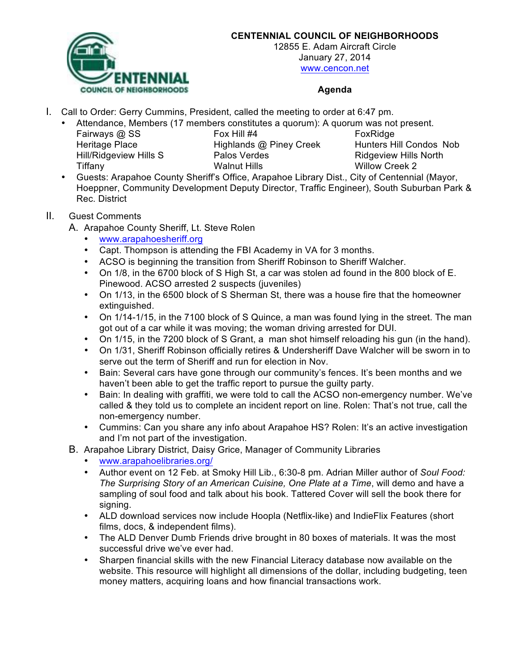

## **CENTENNIAL COUNCIL OF NEIGHBORHOODS**

12855 E. Adam Aircraft Circle January 27, 2014 www.cencon.net

## **Agenda**

- I. Call to Order: Gerry Cummins, President, called the meeting to order at 6:47 pm.
	- Attendance, Members (17 members constitutes a quorum): A quorum was not present.

Fairways @ SS Fox Hill #4 Fox Hill #4 FoxRidge Hill/Ridgeview Hills S Palos Verdes Ridgeview Hills North Tiffany Walnut Hills Willow Creek 2

Heritage Place **Highlands @ Piney Creek** Hunters Hill Condos Nob

• Guests: Arapahoe County Sheriff's Office, Arapahoe Library Dist., City of Centennial (Mayor, Hoeppner, Community Development Deputy Director, Traffic Engineer), South Suburban Park & Rec. District

## II. Guest Comments

- A. Arapahoe County Sheriff, Lt. Steve Rolen
	- www.arapahoesheriff.org
	- Capt. Thompson is attending the FBI Academy in VA for 3 months.
	- ACSO is beginning the transition from Sheriff Robinson to Sheriff Walcher.
	- On 1/8, in the 6700 block of S High St, a car was stolen ad found in the 800 block of E. Pinewood. ACSO arrested 2 suspects (juveniles)
	- On 1/13, in the 6500 block of S Sherman St, there was a house fire that the homeowner extinguished.
	- On 1/14-1/15, in the 7100 block of S Quince, a man was found lying in the street. The man got out of a car while it was moving; the woman driving arrested for DUI.
	- On 1/15, in the 7200 block of S Grant, a man shot himself reloading his gun (in the hand).
	- On 1/31, Sheriff Robinson officially retires & Undersheriff Dave Walcher will be sworn in to serve out the term of Sheriff and run for election in Nov.
	- Bain: Several cars have gone through our community's fences. It's been months and we haven't been able to get the traffic report to pursue the guilty party.
	- Bain: In dealing with graffiti, we were told to call the ACSO non-emergency number. We've called & they told us to complete an incident report on line. Rolen: That's not true, call the non-emergency number.
	- Cummins: Can you share any info about Arapahoe HS? Rolen: It's an active investigation and I'm not part of the investigation.
- B. Arapahoe Library District, Daisy Grice, Manager of Community Libraries
	- www.arapahoelibraries.org/
	- Author event on 12 Feb. at Smoky Hill Lib., 6:30-8 pm. Adrian Miller author of *Soul Food: The Surprising Story of an American Cuisine, One Plate at a Time*, will demo and have a sampling of soul food and talk about his book. Tattered Cover will sell the book there for signing.
	- ALD download services now include Hoopla (Netflix-like) and IndieFlix Features (short films, docs, & independent films).
	- The ALD Denver Dumb Friends drive brought in 80 boxes of materials. It was the most successful drive we've ever had.
	- Sharpen financial skills with the new Financial Literacy database now available on the website. This resource will highlight all dimensions of the dollar, including budgeting, teen money matters, acquiring loans and how financial transactions work.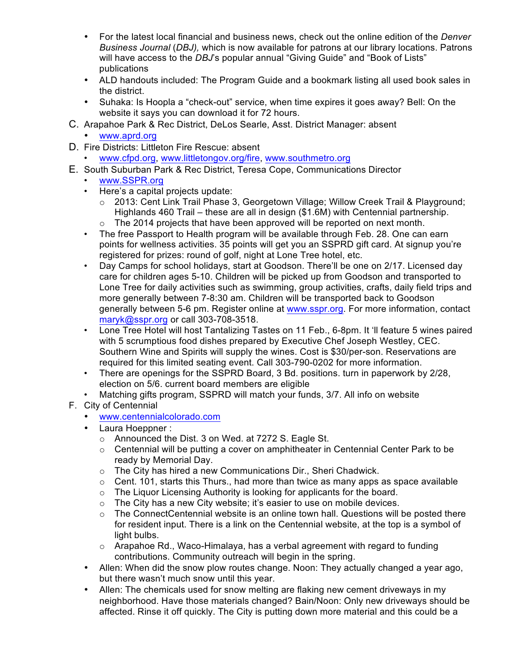- For the latest local financial and business news, check out the online edition of the *Denver Business Journal* (*DBJ),* which is now available for patrons at our library locations. Patrons will have access to the *DBJ*'s popular annual "Giving Guide" and "Book of Lists" publications
- ALD handouts included: The Program Guide and a bookmark listing all used book sales in the district.
- Suhaka: Is Hoopla a "check-out" service, when time expires it goes away? Bell: On the website it says you can download it for 72 hours.
- C. Arapahoe Park & Rec District, DeLos Searle, Asst. District Manager: absent
	- www.aprd.org
- D. Fire Districts: Littleton Fire Rescue: absent
	- www.cfpd.org, www.littletongov.org/fire, www.southmetro.org
- E. South Suburban Park & Rec District, Teresa Cope, Communications Director
	- www.SSPR.org
	- Here's a capital projects update:
		- o 2013: Cent Link Trail Phase 3, Georgetown Village; Willow Creek Trail & Playground; Highlands 460 Trail – these are all in design (\$1.6M) with Centennial partnership.  $\circ$  The 2014 projects that have been approved will be reported on next month.
	- The free Passport to Health program will be available through Feb. 28. One can earn points for wellness activities. 35 points will get you an SSPRD gift card. At signup you're registered for prizes: round of golf, night at Lone Tree hotel, etc.
	- Day Camps for school holidays, start at Goodson. There'll be one on 2/17. Licensed day care for children ages 5-10. Children will be picked up from Goodson and transported to Lone Tree for daily activities such as swimming, group activities, crafts, daily field trips and more generally between 7-8:30 am. Children will be transported back to Goodson generally between 5-6 pm. Register online at www.sspr.org. For more information, contact maryk@sspr.org or call 303-708-3518.
	- Lone Tree Hotel will host Tantalizing Tastes on 11 Feb., 6-8pm. It 'll feature 5 wines paired with 5 scrumptious food dishes prepared by Executive Chef Joseph Westley, CEC. Southern Wine and Spirits will supply the wines. Cost is \$30/per-son. Reservations are required for this limited seating event. Call 303-790-0202 for more information.
	- There are openings for the SSPRD Board, 3 Bd. positions. turn in paperwork by 2/28, election on 5/6. current board members are eligible
	- Matching gifts program, SSPRD will match your funds, 3/7. All info on website
- F. City of Centennial
	- www.centennialcolorado.com
	- Laura Hoeppner :
		- o Announced the Dist. 3 on Wed. at 7272 S. Eagle St.
		- $\circ$  Centennial will be putting a cover on amphitheater in Centennial Center Park to be ready by Memorial Day.
		- o The City has hired a new Communications Dir., Sheri Chadwick.
		- $\circ$  Cent. 101, starts this Thurs., had more than twice as many apps as space available
		- o The Liquor Licensing Authority is looking for applicants for the board.
		- o The City has a new City website; it's easier to use on mobile devices.
		- $\circ$  The ConnectCentennial website is an online town hall. Questions will be posted there for resident input. There is a link on the Centennial website, at the top is a symbol of light bulbs.
		- $\circ$  Arapahoe Rd., Waco-Himalaya, has a verbal agreement with regard to funding contributions. Community outreach will begin in the spring.
	- Allen: When did the snow plow routes change. Noon: They actually changed a year ago, but there wasn't much snow until this year.
	- Allen: The chemicals used for snow melting are flaking new cement driveways in my neighborhood. Have those materials changed? Bain/Noon: Only new driveways should be affected. Rinse it off quickly. The City is putting down more material and this could be a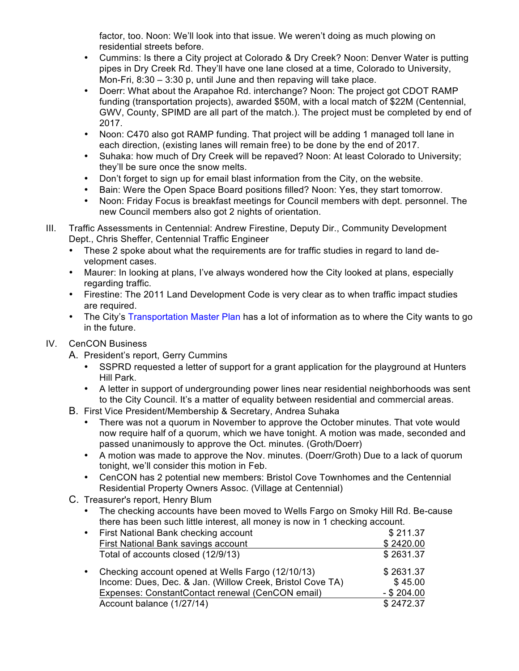factor, too. Noon: We'll look into that issue. We weren't doing as much plowing on residential streets before.

- Cummins: Is there a City project at Colorado & Dry Creek? Noon: Denver Water is putting pipes in Dry Creek Rd. They'll have one lane closed at a time, Colorado to University, Mon-Fri, 8:30 – 3:30 p, until June and then repaving will take place.
- Doerr: What about the Arapahoe Rd. interchange? Noon: The project got CDOT RAMP funding (transportation projects), awarded \$50M, with a local match of \$22M (Centennial, GWV, County, SPIMD are all part of the match.). The project must be completed by end of 2017.
- Noon: C470 also got RAMP funding. That project will be adding 1 managed toll lane in each direction, (existing lanes will remain free) to be done by the end of 2017.
- Suhaka: how much of Dry Creek will be repaved? Noon: At least Colorado to University; they'll be sure once the snow melts.
- Don't forget to sign up for email blast information from the City, on the website.
- Bain: Were the Open Space Board positions filled? Noon: Yes, they start tomorrow.
- Noon: Friday Focus is breakfast meetings for Council members with dept. personnel. The new Council members also got 2 nights of orientation.
- III. Traffic Assessments in Centennial: Andrew Firestine, Deputy Dir., Community Development Dept., Chris Sheffer, Centennial Traffic Engineer
	- These 2 spoke about what the requirements are for traffic studies in regard to land development cases.
	- Maurer: In looking at plans, I've always wondered how the City looked at plans, especially regarding traffic.
	- Firestine: The 2011 Land Development Code is very clear as to when traffic impact studies are required.
	- The City's Transportation Master Plan has a lot of information as to where the City wants to go in the future.

## IV. CenCON Business

- A. President's report, Gerry Cummins
	- SSPRD requested a letter of support for a grant application for the playground at Hunters Hill Park.
	- A letter in support of undergrounding power lines near residential neighborhoods was sent to the City Council. It's a matter of equality between residential and commercial areas.
- B. First Vice President/Membership & Secretary, Andrea Suhaka
	- There was not a quorum in November to approve the October minutes. That vote would now require half of a quorum, which we have tonight. A motion was made, seconded and passed unanimously to approve the Oct. minutes. (Groth/Doerr)
	- A motion was made to approve the Nov. minutes. (Doerr/Groth) Due to a lack of quorum tonight, we'll consider this motion in Feb.
	- CenCON has 2 potential new members: Bristol Cove Townhomes and the Centennial Residential Property Owners Assoc. (Village at Centennial)
- C. Treasurer's report, Henry Blum
	- The checking accounts have been moved to Wells Fargo on Smoky Hill Rd. Be-cause there has been such little interest, all money is now in 1 checking account.

|           | • First National Bank checking account                    | \$211.37      |
|-----------|-----------------------------------------------------------|---------------|
|           | First National Bank savings account                       | \$2420.00     |
|           | Total of accounts closed (12/9/13)                        | \$2631.37     |
| $\bullet$ | Checking account opened at Wells Fargo (12/10/13)         | \$2631.37     |
|           | Income: Dues, Dec. & Jan. (Willow Creek, Bristol Cove TA) | \$45.00       |
|           | Expenses: ConstantContact renewal (CenCON email)          | $-$ \$ 204.00 |
|           | Account balance (1/27/14)                                 | \$2472.37     |